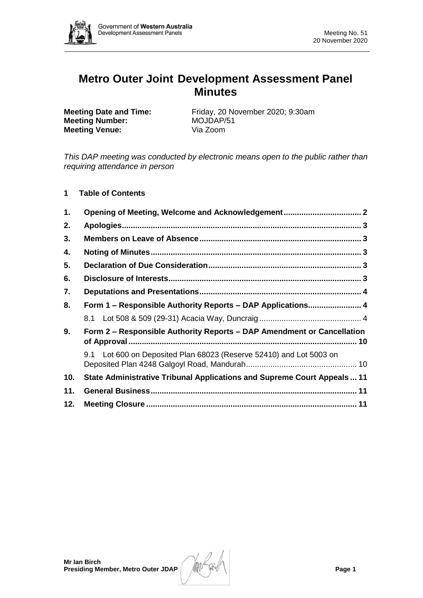

# **Metro Outer Joint Development Assessment Panel Minutes**

**Meeting Number:** MOJDAP/51<br> **Meeting Venue:** Via Zoom **Meeting Venue:** 

**Meeting Date and Time:** Friday, 20 November 2020; 9:30am

*This DAP meeting was conducted by electronic means open to the public rather than requiring attendance in person*

# **1 Table of Contents**

| 1.  | Opening of Meeting, Welcome and Acknowledgement 2                        |  |  |  |  |  |
|-----|--------------------------------------------------------------------------|--|--|--|--|--|
| 2.  |                                                                          |  |  |  |  |  |
| 3.  |                                                                          |  |  |  |  |  |
| 4.  |                                                                          |  |  |  |  |  |
| 5.  |                                                                          |  |  |  |  |  |
| 6.  |                                                                          |  |  |  |  |  |
| 7.  |                                                                          |  |  |  |  |  |
| 8.  | Form 1 – Responsible Authority Reports – DAP Applications 4              |  |  |  |  |  |
|     |                                                                          |  |  |  |  |  |
| 9.  | Form 2 – Responsible Authority Reports – DAP Amendment or Cancellation   |  |  |  |  |  |
|     | 9.1 Lot 600 on Deposited Plan 68023 (Reserve 52410) and Lot 5003 on      |  |  |  |  |  |
| 10. | State Administrative Tribunal Applications and Supreme Court Appeals  11 |  |  |  |  |  |
| 11. |                                                                          |  |  |  |  |  |
| 12. |                                                                          |  |  |  |  |  |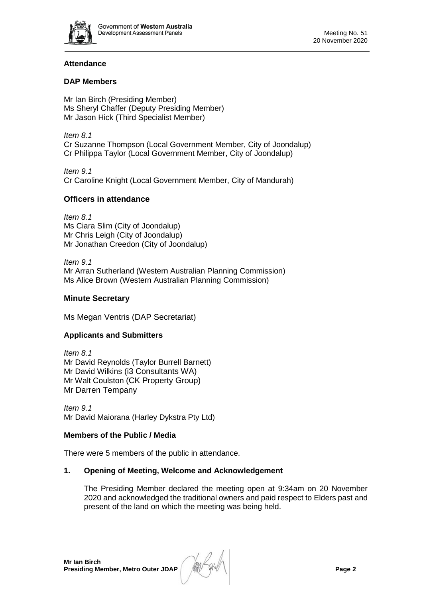

# **Attendance**

# **DAP Members**

Mr Ian Birch (Presiding Member) Ms Sheryl Chaffer (Deputy Presiding Member) Mr Jason Hick (Third Specialist Member)

*Item 8.1* Cr Suzanne Thompson (Local Government Member, City of Joondalup) Cr Philippa Taylor (Local Government Member, City of Joondalup)

*Item 9.1* Cr Caroline Knight (Local Government Member, City of Mandurah)

# **Officers in attendance**

*Item 8.1* Ms Ciara Slim (City of Joondalup) Mr Chris Leigh (City of Joondalup) Mr Jonathan Creedon (City of Joondalup)

*Item 9.1* Mr Arran Sutherland (Western Australian Planning Commission) Ms Alice Brown (Western Australian Planning Commission)

# **Minute Secretary**

Ms Megan Ventris (DAP Secretariat)

# **Applicants and Submitters**

*Item 8.1* Mr David Reynolds (Taylor Burrell Barnett) Mr David Wilkins (i3 Consultants WA) Mr Walt Coulston (CK Property Group) Mr Darren Tempany

*Item 9.1* Mr David Maiorana (Harley Dykstra Pty Ltd)

# **Members of the Public / Media**

There were 5 members of the public in attendance.

# <span id="page-1-0"></span>**1. Opening of Meeting, Welcome and Acknowledgement**

The Presiding Member declared the meeting open at 9:34am on 20 November 2020 and acknowledged the traditional owners and paid respect to Elders past and present of the land on which the meeting was being held.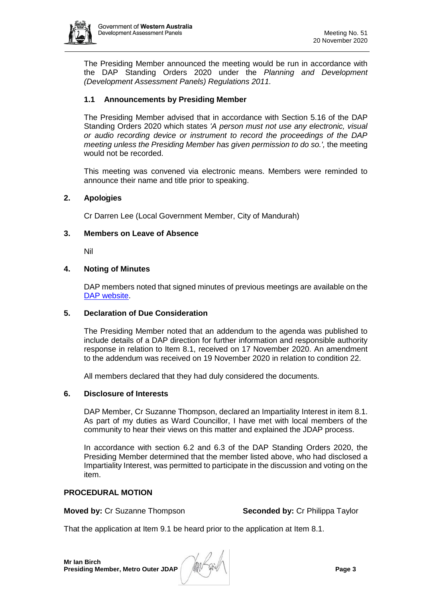

The Presiding Member announced the meeting would be run in accordance with the DAP Standing Orders 2020 under the *Planning and Development (Development Assessment Panels) Regulations 2011.*

# **1.1 Announcements by Presiding Member**

The Presiding Member advised that in accordance with Section 5.16 of the DAP Standing Orders 2020 which states *'A person must not use any electronic, visual or audio recording device or instrument to record the proceedings of the DAP meeting unless the Presiding Member has given permission to do so.',* the meeting would not be recorded.

This meeting was convened via electronic means. Members were reminded to announce their name and title prior to speaking.

# <span id="page-2-0"></span>**2. Apologies**

Cr Darren Lee (Local Government Member, City of Mandurah)

#### <span id="page-2-1"></span>**3. Members on Leave of Absence**

Nil

#### <span id="page-2-2"></span>**4. Noting of Minutes**

DAP members noted that signed minutes of previous meetings are available on the [DAP website.](https://www.dplh.wa.gov.au/about/development-assessment-panels/daps-agendas-and-minutes)

# <span id="page-2-3"></span>**5. Declaration of Due Consideration**

The Presiding Member noted that an addendum to the agenda was published to include details of a DAP direction for further information and responsible authority response in relation to Item 8.1, received on 17 November 2020. An amendment to the addendum was received on 19 November 2020 in relation to condition 22.

All members declared that they had duly considered the documents.

#### <span id="page-2-4"></span>**6. Disclosure of Interests**

DAP Member, Cr Suzanne Thompson, declared an Impartiality Interest in item 8.1. As part of my duties as Ward Councillor, I have met with local members of the community to hear their views on this matter and explained the JDAP process.

In accordance with section 6.2 and 6.3 of the DAP Standing Orders 2020, the Presiding Member determined that the member listed above, who had disclosed a Impartiality Interest, was permitted to participate in the discussion and voting on the item.

# **PROCEDURAL MOTION**

**Moved by:** Cr Suzanne Thompson **Seconded by:** Cr Philippa Taylor

That the application at Item 9.1 be heard prior to the application at Item 8.1.

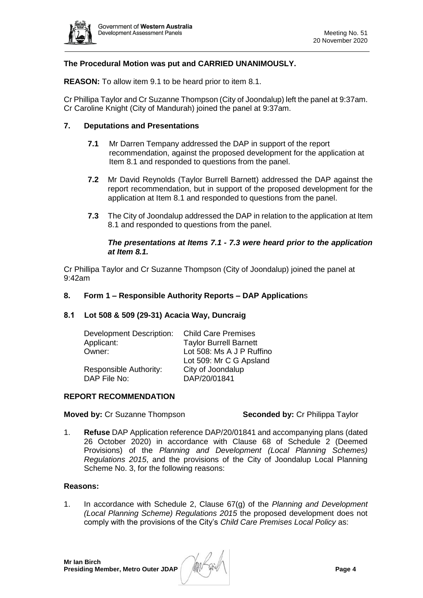

# **The Procedural Motion was put and CARRIED UNANIMOUSLY.**

**REASON:** To allow item 9.1 to be heard prior to item 8.1.

Cr Phillipa Taylor and Cr Suzanne Thompson (City of Joondalup) left the panel at 9:37am. Cr Caroline Knight (City of Mandurah) joined the panel at 9:37am.

## <span id="page-3-0"></span>**7. Deputations and Presentations**

- **7.1** Mr Darren Tempany addressed the DAP in support of the report recommendation, against the proposed development for the application at Item 8.1 and responded to questions from the panel.
- **7.2** Mr David Reynolds (Taylor Burrell Barnett) addressed the DAP against the report recommendation, but in support of the proposed development for the application at Item 8.1 and responded to questions from the panel.
- **7.3** The City of Joondalup addressed the DAP in relation to the application at Item 8.1 and responded to questions from the panel.

#### *The presentations at Items 7.1 - 7.3 were heard prior to the application at Item 8.1.*

<span id="page-3-1"></span>Cr Phillipa Taylor and Cr Suzanne Thompson (City of Joondalup) joined the panel at 9:42am

#### **8. Form 1 – Responsible Authority Reports – DAP Application**s

#### <span id="page-3-2"></span>**8.1 Lot 508 & 509 (29-31) Acacia Way, Duncraig**

| <b>Child Care Premises</b>    |  |
|-------------------------------|--|
| <b>Taylor Burrell Barnett</b> |  |
| Lot 508: Ms A J P Ruffino     |  |
| Lot 509: Mr C G Apsland       |  |
| City of Joondalup             |  |
| DAP/20/01841                  |  |
|                               |  |

#### **REPORT RECOMMENDATION**

**Moved by:** Cr Suzanne Thompson **Seconded by:** Cr Philippa Taylor

1. **Refuse** DAP Application reference DAP/20/01841 and accompanying plans (dated 26 October 2020) in accordance with Clause 68 of Schedule 2 (Deemed Provisions) of the *Planning and Development (Local Planning Schemes) Regulations 2015*, and the provisions of the City of Joondalup Local Planning Scheme No. 3, for the following reasons:

#### **Reasons:**

1. In accordance with Schedule 2, Clause 67(g) of the *Planning and Development (Local Planning Scheme) Regulations 2015* the proposed development does not comply with the provisions of the City's *Child Care Premises Local Policy* as: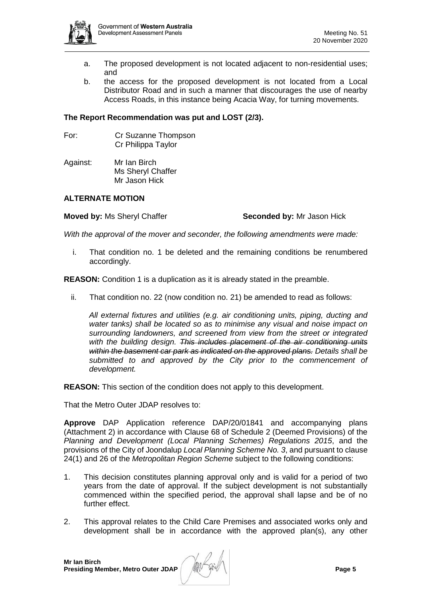

- a. The proposed development is not located adjacent to non-residential uses; and
- b. the access for the proposed development is not located from a Local Distributor Road and in such a manner that discourages the use of nearby Access Roads, in this instance being Acacia Way, for turning movements.

# **The Report Recommendation was put and LOST (2/3).**

- For: Cr Suzanne Thompson Cr Philippa Taylor
- Against: Mr Ian Birch Ms Sheryl Chaffer Mr Jason Hick

## **ALTERNATE MOTION**

**Moved by:** Ms Sheryl Chaffer **Seconded by:** Mr Jason Hick

*With the approval of the mover and seconder, the following amendments were made:*

i. That condition no. 1 be deleted and the remaining conditions be renumbered accordingly.

**REASON:** Condition 1 is a duplication as it is already stated in the preamble.

ii. That condition no. 22 (now condition no. 21) be amended to read as follows:

*All external fixtures and utilities (e.g. air conditioning units, piping, ducting and water tanks) shall be located so as to minimise any visual and noise impact on surrounding landowners, and screened from view from the street or integrated with the building design. This includes placement of the air conditioning units within the basement car park as indicated on the approved plans. Details shall be submitted to and approved by the City prior to the commencement of development.* 

**REASON:** This section of the condition does not apply to this development.

That the Metro Outer JDAP resolves to:

**Approve** DAP Application reference DAP/20/01841 and accompanying plans (Attachment 2) in accordance with Clause 68 of Schedule 2 (Deemed Provisions) of the *Planning and Development (Local Planning Schemes) Regulations 2015*, and the provisions of the City of Joondalup *Local Planning Scheme No. 3*, and pursuant to clause 24(1) and 26 of the *Metropolitan Region Scheme* subject to the following conditions:

- 1. This decision constitutes planning approval only and is valid for a period of two years from the date of approval. If the subject development is not substantially commenced within the specified period, the approval shall lapse and be of no further effect.
- 2. This approval relates to the Child Care Premises and associated works only and development shall be in accordance with the approved plan(s), any other

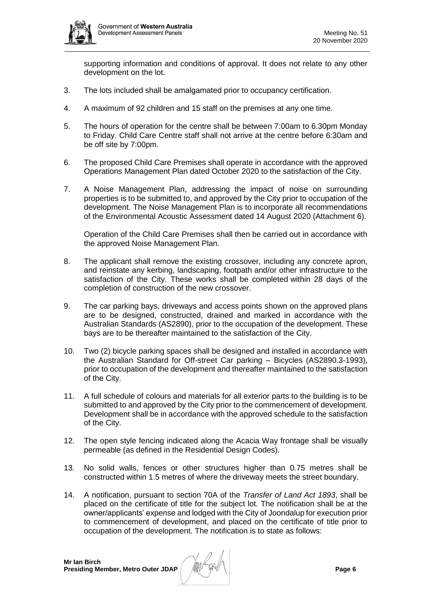

supporting information and conditions of approval. It does not relate to any other development on the lot.

- 3. The lots included shall be amalgamated prior to occupancy certification.
- 4. A maximum of 92 children and 15 staff on the premises at any one time.
- 5. The hours of operation for the centre shall be between 7:00am to 6.30pm Monday to Friday. Child Care Centre staff shall not arrive at the centre before 6:30am and be off site by 7:00pm.
- 6. The proposed Child Care Premises shall operate in accordance with the approved Operations Management Plan dated October 2020 to the satisfaction of the City.
- 7. A Noise Management Plan, addressing the impact of noise on surrounding properties is to be submitted to, and approved by the City prior to occupation of the development. The Noise Management Plan is to incorporate all recommendations of the Environmental Acoustic Assessment dated 14 August 2020 (Attachment 6).

Operation of the Child Care Premises shall then be carried out in accordance with the approved Noise Management Plan.

- 8. The applicant shall remove the existing crossover, including any concrete apron, and reinstate any kerbing, landscaping, footpath and/or other infrastructure to the satisfaction of the City. These works shall be completed within 28 days of the completion of construction of the new crossover.
- 9. The car parking bays, driveways and access points shown on the approved plans are to be designed, constructed, drained and marked in accordance with the Australian Standards (AS2890), prior to the occupation of the development. These bays are to be thereafter maintained to the satisfaction of the City.
- 10. Two (2) bicycle parking spaces shall be designed and installed in accordance with the Australian Standard for Off-street Car parking – Bicycles (AS2890.3-1993), prior to occupation of the development and thereafter maintained to the satisfaction of the City.
- 11. A full schedule of colours and materials for all exterior parts to the building is to be submitted to and approved by the City prior to the commencement of development. Development shall be in accordance with the approved schedule to the satisfaction of the City.
- 12. The open style fencing indicated along the Acacia Way frontage shall be visually permeable (as defined in the Residential Design Codes).
- 13. No solid walls, fences or other structures higher than 0.75 metres shall be constructed within 1.5 metres of where the driveway meets the street boundary.
- 14. A notification, pursuant to section 70A of the *Transfer of Land Act 1893*, shall be placed on the certificate of title for the subject lot. The notification shall be at the owner/applicants' expense and lodged with the City of Joondalup for execution prior to commencement of development, and placed on the certificate of title prior to occupation of the development. The notification is to state as follows:

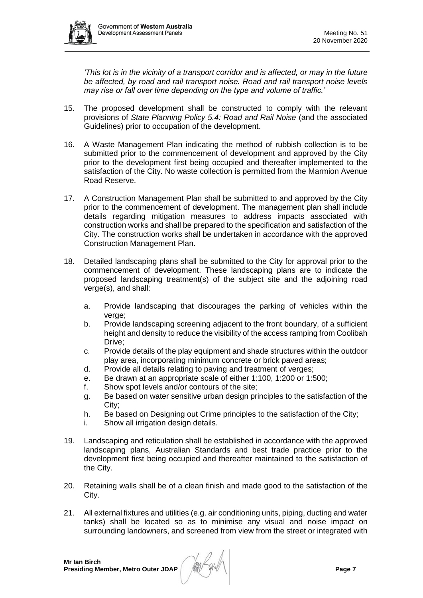

*'This lot is in the vicinity of a transport corridor and is affected, or may in the future be affected, by road and rail transport noise. Road and rail transport noise levels may rise or fall over time depending on the type and volume of traffic.'*

- 15. The proposed development shall be constructed to comply with the relevant provisions of *State Planning Policy 5.4: Road and Rail Noise* (and the associated Guidelines) prior to occupation of the development.
- 16. A Waste Management Plan indicating the method of rubbish collection is to be submitted prior to the commencement of development and approved by the City prior to the development first being occupied and thereafter implemented to the satisfaction of the City. No waste collection is permitted from the Marmion Avenue Road Reserve.
- 17. A Construction Management Plan shall be submitted to and approved by the City prior to the commencement of development. The management plan shall include details regarding mitigation measures to address impacts associated with construction works and shall be prepared to the specification and satisfaction of the City. The construction works shall be undertaken in accordance with the approved Construction Management Plan.
- 18. Detailed landscaping plans shall be submitted to the City for approval prior to the commencement of development. These landscaping plans are to indicate the proposed landscaping treatment(s) of the subject site and the adjoining road verge(s), and shall:
	- a. Provide landscaping that discourages the parking of vehicles within the verge;
	- b. Provide landscaping screening adjacent to the front boundary, of a sufficient height and density to reduce the visibility of the access ramping from Coolibah Drive;
	- c. Provide details of the play equipment and shade structures within the outdoor play area, incorporating minimum concrete or brick paved areas;
	- d. Provide all details relating to paving and treatment of verges;
	- e. Be drawn at an appropriate scale of either 1:100, 1:200 or 1:500;
	- f. Show spot levels and/or contours of the site;
	- g. Be based on water sensitive urban design principles to the satisfaction of the City;
	- h. Be based on Designing out Crime principles to the satisfaction of the City;
	- i. Show all irrigation design details.
- 19. Landscaping and reticulation shall be established in accordance with the approved landscaping plans, Australian Standards and best trade practice prior to the development first being occupied and thereafter maintained to the satisfaction of the City.
- 20. Retaining walls shall be of a clean finish and made good to the satisfaction of the City.
- 21. All external fixtures and utilities (e.g. air conditioning units, piping, ducting and water tanks) shall be located so as to minimise any visual and noise impact on surrounding landowners, and screened from view from the street or integrated with

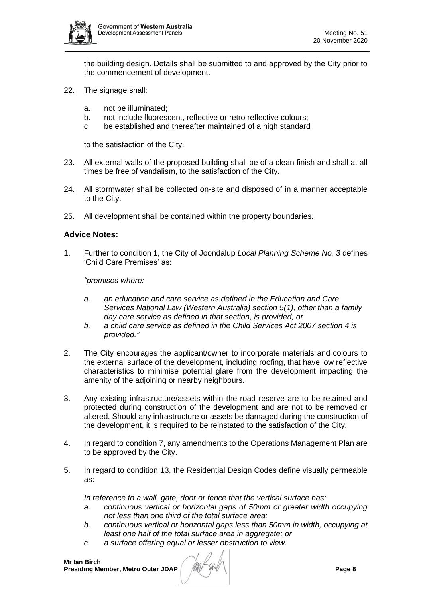

the building design. Details shall be submitted to and approved by the City prior to the commencement of development.

- 22. The signage shall:
	- a. not be illuminated;
	- b. not include fluorescent, reflective or retro reflective colours;
	- c. be established and thereafter maintained of a high standard

to the satisfaction of the City.

- 23. All external walls of the proposed building shall be of a clean finish and shall at all times be free of vandalism, to the satisfaction of the City.
- 24. All stormwater shall be collected on-site and disposed of in a manner acceptable to the City.
- 25. All development shall be contained within the property boundaries.

# **Advice Notes:**

1. Further to condition 1, the City of Joondalup *Local Planning Scheme No. 3* defines 'Child Care Premises' as:

*"premises where:*

- *a. an education and care service as defined in the Education and Care Services National Law (Western Australia) section 5(1), other than a family day care service as defined in that section, is provided; or*
- *b. a child care service as defined in the Child Services Act 2007 section 4 is provided."*
- 2. The City encourages the applicant/owner to incorporate materials and colours to the external surface of the development, including roofing, that have low reflective characteristics to minimise potential glare from the development impacting the amenity of the adjoining or nearby neighbours.
- 3. Any existing infrastructure/assets within the road reserve are to be retained and protected during construction of the development and are not to be removed or altered. Should any infrastructure or assets be damaged during the construction of the development, it is required to be reinstated to the satisfaction of the City.
- 4. In regard to condition 7, any amendments to the Operations Management Plan are to be approved by the City.
- 5. In regard to condition 13, the Residential Design Codes define visually permeable as:

*In reference to a wall, gate, door or fence that the vertical surface has:*

- *a. continuous vertical or horizontal gaps of 50mm or greater width occupying not less than one third of the total surface area;*
- *b. continuous vertical or horizontal gaps less than 50mm in width, occupying at least one half of the total surface area in aggregate; or*
- *c. a surface offering equal or lesser obstruction to view.*

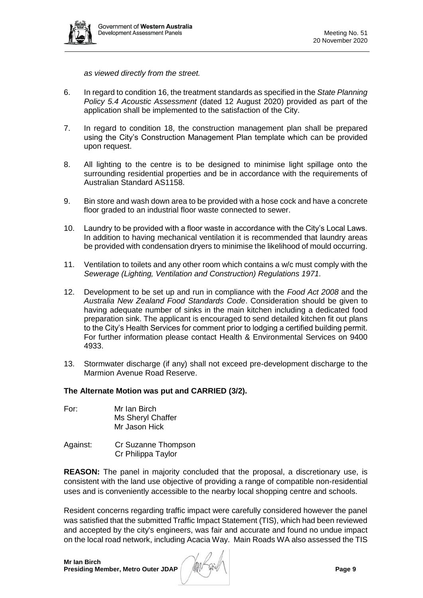

*as viewed directly from the street.*

- 6. In regard to condition 16, the treatment standards as specified in the *State Planning Policy 5.4 Acoustic Assessment* (dated 12 August 2020) provided as part of the application shall be implemented to the satisfaction of the City.
- 7. In regard to condition 18, the construction management plan shall be prepared using the City's Construction Management Plan template which can be provided upon request.
- 8. All lighting to the centre is to be designed to minimise light spillage onto the surrounding residential properties and be in accordance with the requirements of Australian Standard AS1158.
- 9. Bin store and wash down area to be provided with a hose cock and have a concrete floor graded to an industrial floor waste connected to sewer.
- 10. Laundry to be provided with a floor waste in accordance with the City's Local Laws. In addition to having mechanical ventilation it is recommended that laundry areas be provided with condensation dryers to minimise the likelihood of mould occurring.
- 11. Ventilation to toilets and any other room which contains a w/c must comply with the *Sewerage (Lighting, Ventilation and Construction) Regulations 1971.*
- 12. Development to be set up and run in compliance with the *Food Act 2008* and the *Australia New Zealand Food Standards Code*. Consideration should be given to having adequate number of sinks in the main kitchen including a dedicated food preparation sink. The applicant is encouraged to send detailed kitchen fit out plans to the City's Health Services for comment prior to lodging a certified building permit. For further information please contact Health & Environmental Services on 9400 4933.
- 13. Stormwater discharge (if any) shall not exceed pre-development discharge to the Marmion Avenue Road Reserve.

#### **The Alternate Motion was put and CARRIED (3/2).**

- For: Mr Ian Birch Ms Sheryl Chaffer Mr Jason Hick
- Against: Cr Suzanne Thompson Cr Philippa Taylor

**REASON:** The panel in majority concluded that the proposal, a discretionary use, is consistent with the land use objective of providing a range of compatible non-residential uses and is conveniently accessible to the nearby local shopping centre and schools.

Resident concerns regarding traffic impact were carefully considered however the panel was satisfied that the submitted Traffic Impact Statement (TIS), which had been reviewed and accepted by the city's engineers, was fair and accurate and found no undue impact on the local road network, including Acacia Way. Main Roads WA also assessed the TIS

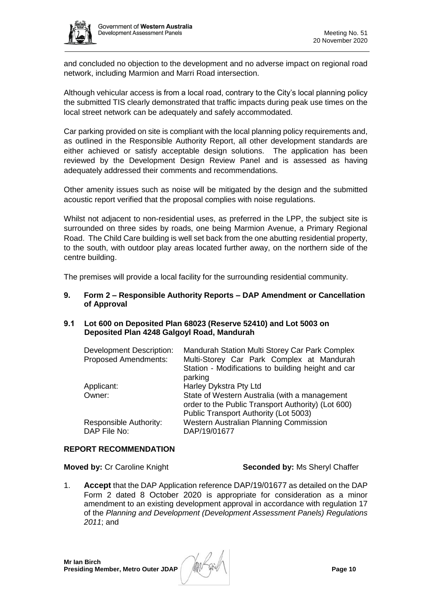and concluded no objection to the development and no adverse impact on regional road network, including Marmion and Marri Road intersection.

Although vehicular access is from a local road, contrary to the City's local planning policy the submitted TIS clearly demonstrated that traffic impacts during peak use times on the local street network can be adequately and safely accommodated.

Car parking provided on site is compliant with the local planning policy requirements and, as outlined in the Responsible Authority Report, all other development standards are either achieved or satisfy acceptable design solutions. The application has been reviewed by the Development Design Review Panel and is assessed as having adequately addressed their comments and recommendations.

Other amenity issues such as noise will be mitigated by the design and the submitted acoustic report verified that the proposal complies with noise regulations.

Whilst not adjacent to non-residential uses, as preferred in the LPP, the subject site is surrounded on three sides by roads, one being Marmion Avenue, a Primary Regional Road. The Child Care building is well set back from the one abutting residential property, to the south, with outdoor play areas located further away, on the northern side of the centre building.

The premises will provide a local facility for the surrounding residential community.

#### <span id="page-9-0"></span>**9. Form 2 – Responsible Authority Reports – DAP Amendment or Cancellation of Approval**

#### <span id="page-9-1"></span>**9.1 Lot 600 on Deposited Plan 68023 (Reserve 52410) and Lot 5003 on Deposited Plan 4248 Galgoyl Road, Mandurah**

| <b>Development Description:</b><br><b>Proposed Amendments:</b> | Mandurah Station Multi Storey Car Park Complex<br>Multi-Storey Car Park Complex at Mandurah         |  |  |
|----------------------------------------------------------------|-----------------------------------------------------------------------------------------------------|--|--|
|                                                                | Station - Modifications to building height and car<br>parking                                       |  |  |
| Applicant:                                                     | Harley Dykstra Pty Ltd                                                                              |  |  |
| Owner:                                                         | State of Western Australia (with a management<br>order to the Public Transport Authority) (Lot 600) |  |  |
|                                                                | Public Transport Authority (Lot 5003)                                                               |  |  |
| Responsible Authority:<br>DAP File No:                         | Western Australian Planning Commission<br>DAP/19/01677                                              |  |  |

#### **REPORT RECOMMENDATION**

#### **Moved by: Cr Caroline Knight <b>Seconded by:** Ms Sheryl Chaffer

1. **Accept** that the DAP Application reference DAP/19/01677 as detailed on the DAP Form 2 dated 8 October 2020 is appropriate for consideration as a minor amendment to an existing development approval in accordance with regulation 17 of the *Planning and Development (Development Assessment Panels) Regulations 2011*; and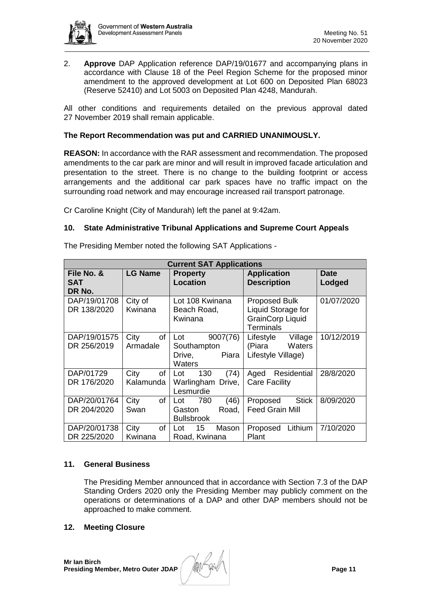

2. **Approve** DAP Application reference DAP/19/01677 and accompanying plans in accordance with Clause 18 of the Peel Region Scheme for the proposed minor amendment to the approved development at Lot 600 on Deposited Plan 68023 (Reserve 52410) and Lot 5003 on Deposited Plan 4248, Mandurah.

All other conditions and requirements detailed on the previous approval dated 27 November 2019 shall remain applicable.

# **The Report Recommendation was put and CARRIED UNANIMOUSLY.**

**REASON:** In accordance with the RAR assessment and recommendation. The proposed amendments to the car park are minor and will result in improved facade articulation and presentation to the street. There is no change to the building footprint or access arrangements and the additional car park spaces have no traffic impact on the surrounding road network and may encourage increased rail transport patronage.

Cr Caroline Knight (City of Mandurah) left the panel at 9:42am.

#### <span id="page-10-0"></span>**10. State Administrative Tribunal Applications and Supreme Court Appeals**

| <b>Current SAT Applications</b>    |                         |                                                                    |                                                                                           |                       |  |  |  |  |  |
|------------------------------------|-------------------------|--------------------------------------------------------------------|-------------------------------------------------------------------------------------------|-----------------------|--|--|--|--|--|
| File No. &<br><b>SAT</b><br>DR No. | <b>LG Name</b>          | <b>Property</b><br><b>Location</b>                                 | <b>Application</b><br><b>Description</b>                                                  | <b>Date</b><br>Lodged |  |  |  |  |  |
| DAP/19/01708<br>DR 138/2020        | City of<br>Kwinana      | Lot 108 Kwinana<br>Beach Road,<br>Kwinana                          | <b>Proposed Bulk</b><br>Liquid Storage for<br><b>GrainCorp Liquid</b><br><b>Terminals</b> | 01/07/2020            |  |  |  |  |  |
| DAP/19/01575<br>DR 256/2019        | City<br>of<br>Armadale  | Lot<br>9007(76)<br>Southampton<br>Piara<br>Drive,<br><b>Waters</b> | Lifestyle<br>Village<br>(Piara<br>Waters<br>Lifestyle Village)                            | 10/12/2019            |  |  |  |  |  |
| DAP/01729<br>DR 176/2020           | City<br>of<br>Kalamunda | 130<br>(74)<br>Lot<br>Warlingham Drive,<br>Lesmurdie               | Residential<br>Aged<br><b>Care Facility</b>                                               | 28/8/2020             |  |  |  |  |  |
| DAP/20/01764<br>DR 204/2020        | City<br>of<br>Swan      | (46)<br>780<br>Lot<br>Road,<br>Gaston<br><b>Bullsbrook</b>         | <b>Stick</b><br>Proposed<br><b>Feed Grain Mill</b>                                        | 8/09/2020             |  |  |  |  |  |
| DAP/20/01738<br>DR 225/2020        | City<br>of<br>Kwinana   | 15 <sup>15</sup><br>Mason<br>Lot<br>Road, Kwinana                  | Lithium<br>Proposed<br>Plant                                                              | 7/10/2020             |  |  |  |  |  |

The Presiding Member noted the following SAT Applications -

# <span id="page-10-1"></span>**11. General Business**

The Presiding Member announced that in accordance with Section 7.3 of the DAP Standing Orders 2020 only the Presiding Member may publicly comment on the operations or determinations of a DAP and other DAP members should not be approached to make comment.

#### <span id="page-10-2"></span>**12. Meeting Closure**